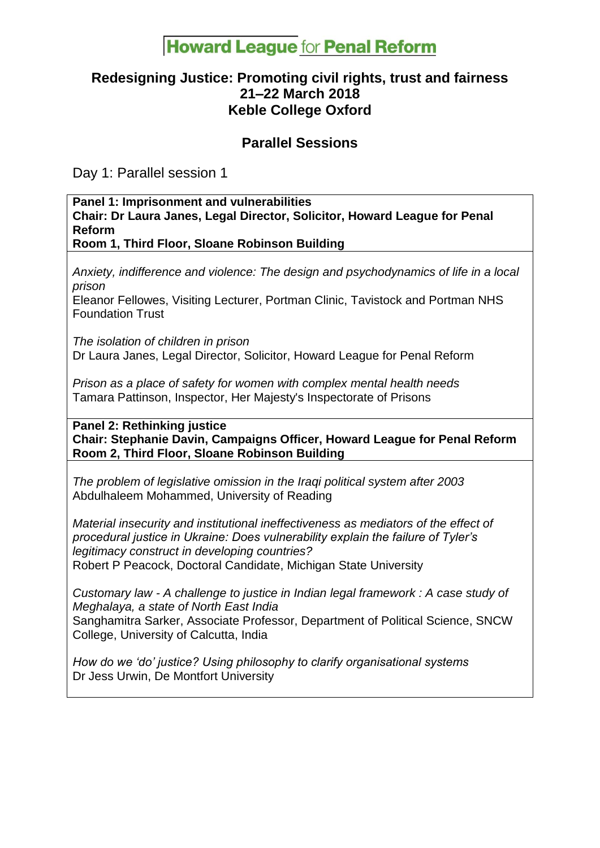# **Howard League for Penal Reform**

# **Redesigning Justice: Promoting civil rights, trust and fairness 21–22 March 2018 Keble College Oxford**

### **Parallel Sessions**

Day 1: Parallel session 1

#### **Panel 1: Imprisonment and vulnerabilities Chair: Dr Laura Janes, Legal Director, Solicitor, Howard League for Penal Reform Room 1, Third Floor, Sloane Robinson Building**

*Anxiety, indifference and violence: The design and psychodynamics of life in a local prison*

Eleanor Fellowes, Visiting Lecturer, Portman Clinic, Tavistock and Portman NHS Foundation Trust

*The isolation of children in prison* Dr Laura Janes, Legal Director, Solicitor, Howard League for Penal Reform

*Prison as a place of safety for women with complex mental health needs* Tamara Pattinson, Inspector, Her Majesty's Inspectorate of Prisons

**Panel 2: Rethinking justice Chair: Stephanie Davin, Campaigns Officer, Howard League for Penal Reform Room 2, Third Floor, Sloane Robinson Building**

*The problem of legislative omission in the Iraqi political system after 2003* Abdulhaleem Mohammed, University of Reading

*Material insecurity and institutional ineffectiveness as mediators of the effect of procedural justice in Ukraine: Does vulnerability explain the failure of Tyler's legitimacy construct in developing countries?* Robert P Peacock, Doctoral Candidate, Michigan State University

*Customary law - A challenge to justice in Indian legal framework : A case study of Meghalaya, a state of North East India* Sanghamitra Sarker, Associate Professor, Department of Political Science, SNCW College, University of Calcutta, India

*How do we 'do' justice? Using philosophy to clarify organisational systems* Dr Jess Urwin, De Montfort University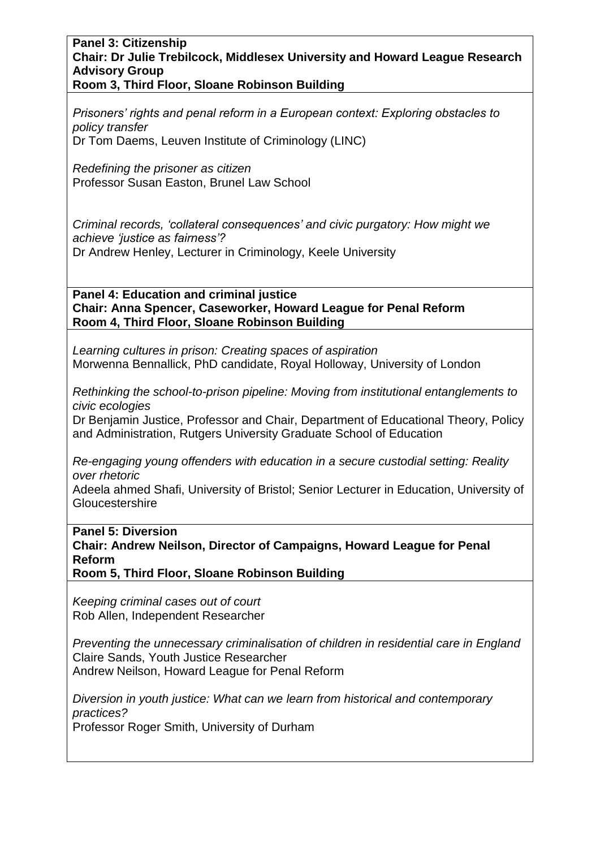#### **Panel 3: Citizenship Chair: Dr Julie Trebilcock, Middlesex University and Howard League Research Advisory Group Room 3, Third Floor, Sloane Robinson Building**

*Prisoners' rights and penal reform in a European context: Exploring obstacles to policy transfer*  Dr Tom Daems, Leuven Institute of Criminology (LINC)

*Redefining the prisoner as citizen* Professor Susan Easton, Brunel Law School

*Criminal records, 'collateral consequences' and civic purgatory: How might we achieve 'justice as fairness'?* Dr Andrew Henley, Lecturer in Criminology, Keele University

**Panel 4: Education and criminal justice Chair: Anna Spencer, Caseworker, Howard League for Penal Reform Room 4, Third Floor, Sloane Robinson Building**

*Learning cultures in prison: Creating spaces of aspiration* Morwenna Bennallick, PhD candidate, Royal Holloway, University of London

*Rethinking the school-to-prison pipeline: Moving from institutional entanglements to civic ecologies*

Dr Benjamin Justice, Professor and Chair, Department of Educational Theory, Policy and Administration, Rutgers University Graduate School of Education

*Re-engaging young offenders with education in a secure custodial setting: Reality over rhetoric*

Adeela ahmed Shafi, University of Bristol; Senior Lecturer in Education, University of **Gloucestershire** 

**Panel 5: Diversion**

**Chair: Andrew Neilson, Director of Campaigns, Howard League for Penal Reform**

**Room 5, Third Floor, Sloane Robinson Building**

*Keeping criminal cases out of court* Rob Allen, Independent Researcher

*Preventing the unnecessary criminalisation of children in residential care in England* Claire Sands, Youth Justice Researcher Andrew Neilson, Howard League for Penal Reform

*Diversion in youth justice: What can we learn from historical and contemporary practices?*

Professor Roger Smith, University of Durham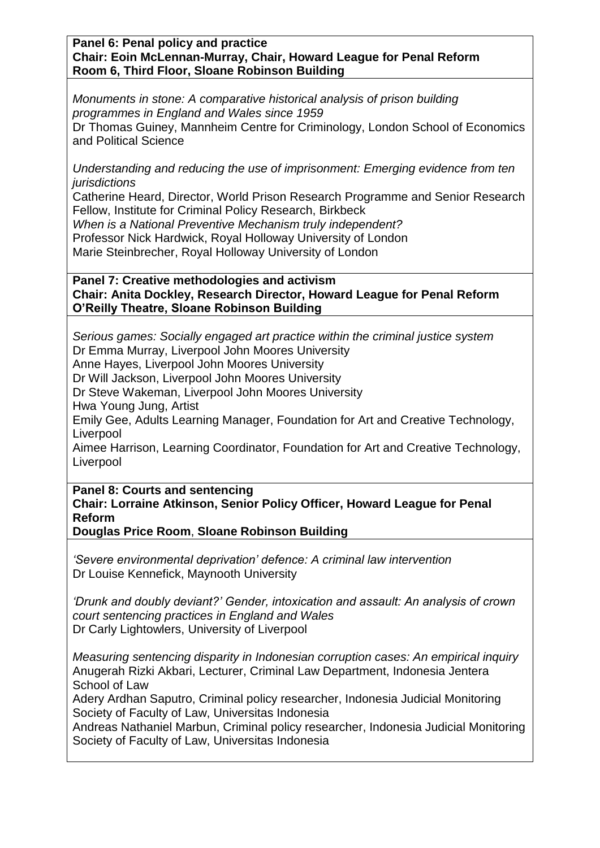**Panel 6: Penal policy and practice Chair: Eoin McLennan-Murray, Chair, Howard League for Penal Reform Room 6, Third Floor, Sloane Robinson Building**

*Monuments in stone: A comparative historical analysis of prison building programmes in England and Wales since 1959* Dr Thomas Guiney, Mannheim Centre for Criminology, London School of Economics and Political Science

*Understanding and reducing the use of imprisonment: Emerging evidence from ten jurisdictions*

Catherine Heard, Director, World Prison Research Programme and Senior Research Fellow, Institute for Criminal Policy Research, Birkbeck *When is a National Preventive Mechanism truly independent?*

Professor Nick Hardwick, Royal Holloway University of London

Marie Steinbrecher, Royal Holloway University of London

### **Panel 7: Creative methodologies and activism Chair: Anita Dockley, Research Director, Howard League for Penal Reform O'Reilly Theatre, Sloane Robinson Building**

*Serious games: Socially engaged art practice within the criminal justice system* Dr Emma Murray, Liverpool John Moores University

Anne Hayes, Liverpool John Moores University

Dr Will Jackson, Liverpool John Moores University

Dr Steve Wakeman, Liverpool John Moores University

Hwa Young Jung, Artist

Emily Gee, Adults Learning Manager, Foundation for Art and Creative Technology, Liverpool

Aimee Harrison, Learning Coordinator, Foundation for Art and Creative Technology, Liverpool

**Panel 8: Courts and sentencing**

**Chair: Lorraine Atkinson, Senior Policy Officer, Howard League for Penal Reform**

**Douglas Price Room**, **Sloane Robinson Building**

*'Severe environmental deprivation' defence: A criminal law intervention* Dr Louise Kennefick, Maynooth University

*'Drunk and doubly deviant?' Gender, intoxication and assault: An analysis of crown court sentencing practices in England and Wales* Dr Carly Lightowlers, University of Liverpool

*Measuring sentencing disparity in Indonesian corruption cases: An empirical inquiry* Anugerah Rizki Akbari, Lecturer, Criminal Law Department, Indonesia Jentera School of Law

Adery Ardhan Saputro, Criminal policy researcher, Indonesia Judicial Monitoring Society of Faculty of Law, Universitas Indonesia

Andreas Nathaniel Marbun, Criminal policy researcher, Indonesia Judicial Monitoring Society of Faculty of Law, Universitas Indonesia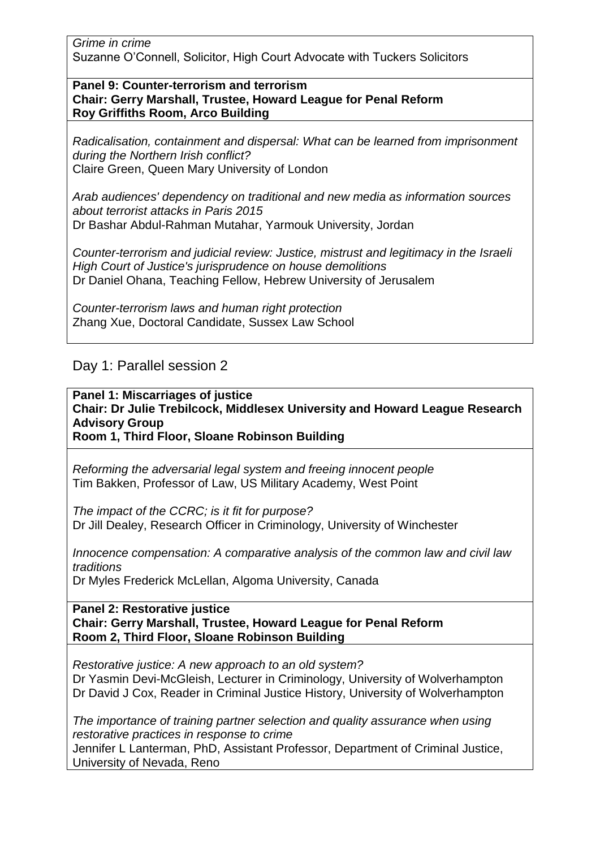*Grime in crime* Suzanne O'Connell, Solicitor, High Court Advocate with Tuckers Solicitors

#### **Panel 9: Counter-terrorism and terrorism Chair: Gerry Marshall, Trustee, Howard League for Penal Reform Roy Griffiths Room, Arco Building**

*Radicalisation, containment and dispersal: What can be learned from imprisonment during the Northern Irish conflict?* Claire Green, Queen Mary University of London

*Arab audiences' dependency on traditional and new media as information sources about terrorist attacks in Paris 2015*  Dr Bashar Abdul-Rahman Mutahar, Yarmouk University, Jordan

*Counter-terrorism and judicial review: Justice, mistrust and legitimacy in the Israeli High Court of Justice's jurisprudence on house demolitions* Dr Daniel Ohana, Teaching Fellow, Hebrew University of Jerusalem

*Counter-terrorism laws and human right protection* Zhang Xue, Doctoral Candidate, Sussex Law School

# Day 1: Parallel session 2

**Panel 1: Miscarriages of justice Chair: Dr Julie Trebilcock, Middlesex University and Howard League Research Advisory Group Room 1, Third Floor, Sloane Robinson Building**

*Reforming the adversarial legal system and freeing innocent people* Tim Bakken, Professor of Law, US Military Academy, West Point

*The impact of the CCRC; is it fit for purpose?* Dr Jill Dealey, Research Officer in Criminology, University of Winchester

*Innocence compensation: A comparative analysis of the common law and civil law traditions* Dr Myles Frederick McLellan, Algoma University, Canada

**Panel 2: Restorative justice Chair: Gerry Marshall, Trustee, Howard League for Penal Reform Room 2, Third Floor, Sloane Robinson Building**

*Restorative justice: A new approach to an old system?* Dr Yasmin Devi-McGleish, Lecturer in Criminology, University of Wolverhampton Dr David J Cox, Reader in Criminal Justice History, University of Wolverhampton

*The importance of training partner selection and quality assurance when using restorative practices in response to crime* Jennifer L Lanterman, PhD, Assistant Professor, Department of Criminal Justice, University of Nevada, Reno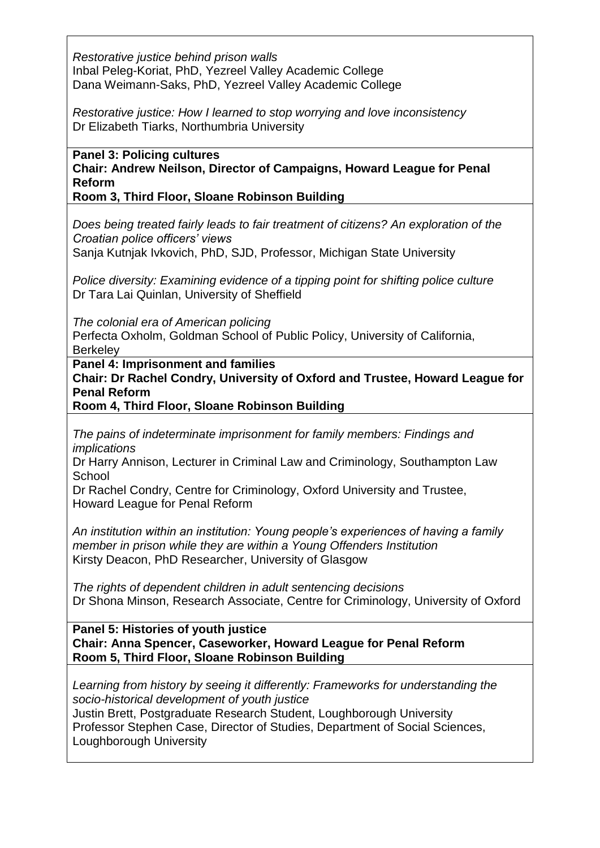*Restorative justice behind prison walls* Inbal Peleg-Koriat, PhD, Yezreel Valley Academic College Dana Weimann-Saks, PhD, Yezreel Valley Academic College

*Restorative justice: How I learned to stop worrying and love inconsistency* Dr Elizabeth Tiarks, Northumbria University

**Panel 3: Policing cultures Chair: Andrew Neilson, Director of Campaigns, Howard League for Penal Reform**

**Room 3, Third Floor, Sloane Robinson Building**

*Does being treated fairly leads to fair treatment of citizens? An exploration of the Croatian police officers' views* Sanja Kutnjak Ivkovich, PhD, SJD, Professor, Michigan State University

*Police diversity: Examining evidence of a tipping point for shifting police culture*

Dr Tara Lai Quinlan, University of Sheffield

*The colonial era of American policing*

Perfecta Oxholm, Goldman School of Public Policy, University of California, **Berkeley** 

**Panel 4: Imprisonment and families**

**Chair: Dr Rachel Condry, University of Oxford and Trustee, Howard League for Penal Reform**

**Room 4, Third Floor, Sloane Robinson Building**

*The pains of indeterminate imprisonment for family members: Findings and implications*

Dr Harry Annison, Lecturer in Criminal Law and Criminology, Southampton Law **School** 

Dr Rachel Condry, Centre for Criminology, Oxford University and Trustee, Howard League for Penal Reform

*An institution within an institution: Young people's experiences of having a family member in prison while they are within a Young Offenders Institution* Kirsty Deacon, PhD Researcher, University of Glasgow

*The rights of dependent children in adult sentencing decisions* Dr Shona Minson, Research Associate, Centre for Criminology, University of Oxford

**Panel 5: Histories of youth justice Chair: Anna Spencer, Caseworker, Howard League for Penal Reform Room 5, Third Floor, Sloane Robinson Building**

*Learning from history by seeing it differently: Frameworks for understanding the socio-historical development of youth justice* Justin Brett, Postgraduate Research Student, Loughborough University Professor Stephen Case, Director of Studies, Department of Social Sciences, Loughborough University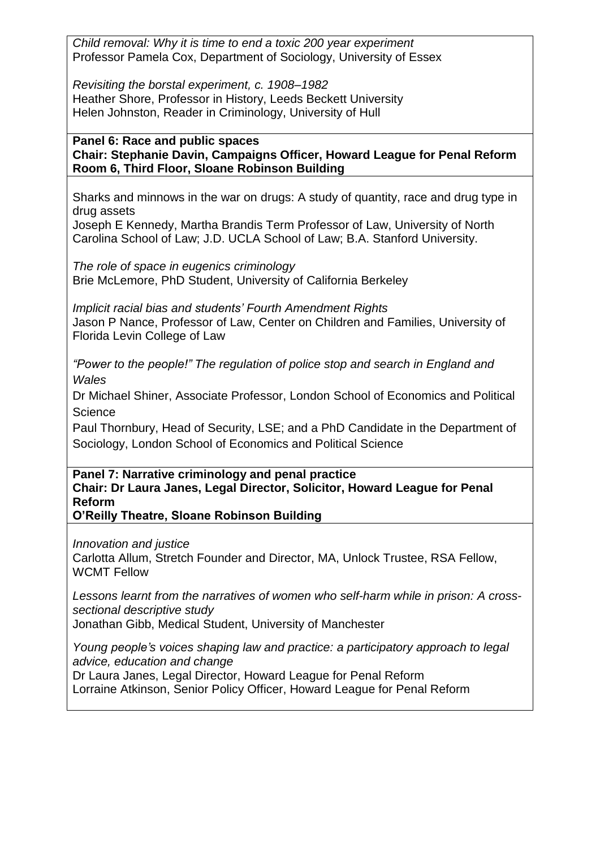*Child removal: Why it is time to end a toxic 200 year experiment* Professor Pamela Cox, Department of Sociology, University of Essex

*Revisiting the borstal experiment, c. 1908–1982* Heather Shore, Professor in History, Leeds Beckett University Helen Johnston, Reader in Criminology, University of Hull

### **Panel 6: Race and public spaces Chair: Stephanie Davin, Campaigns Officer, Howard League for Penal Reform Room 6, Third Floor, Sloane Robinson Building**

Sharks and minnows in the war on drugs: A study of quantity, race and drug type in drug assets

Joseph E Kennedy, Martha Brandis Term Professor of Law, University of North Carolina School of Law; J.D. UCLA School of Law; B.A. Stanford University.

*The role of space in eugenics criminology* Brie McLemore, PhD Student, University of California Berkeley

*Implicit racial bias and students' Fourth Amendment Rights* Jason P Nance, Professor of Law, Center on Children and Families, University of Florida Levin College of Law

*"Power to the people!" The regulation of police stop and search in England and Wales*

Dr Michael Shiner, Associate Professor, London School of Economics and Political **Science** 

Paul Thornbury, Head of Security, LSE; and a PhD Candidate in the Department of Sociology, London School of Economics and Political Science

**Panel 7: Narrative criminology and penal practice Chair: Dr Laura Janes, Legal Director, Solicitor, Howard League for Penal Reform**

**O'Reilly Theatre, Sloane Robinson Building**

*Innovation and justice*

Carlotta Allum, Stretch Founder and Director, MA, Unlock Trustee, RSA Fellow, WCMT Fellow

*Lessons learnt from the narratives of women who self-harm while in prison: A crosssectional descriptive study*

Jonathan Gibb, Medical Student, University of Manchester

*Young people's voices shaping law and practice: a participatory approach to legal advice, education and change*

Dr Laura Janes, Legal Director, Howard League for Penal Reform Lorraine Atkinson, Senior Policy Officer, Howard League for Penal Reform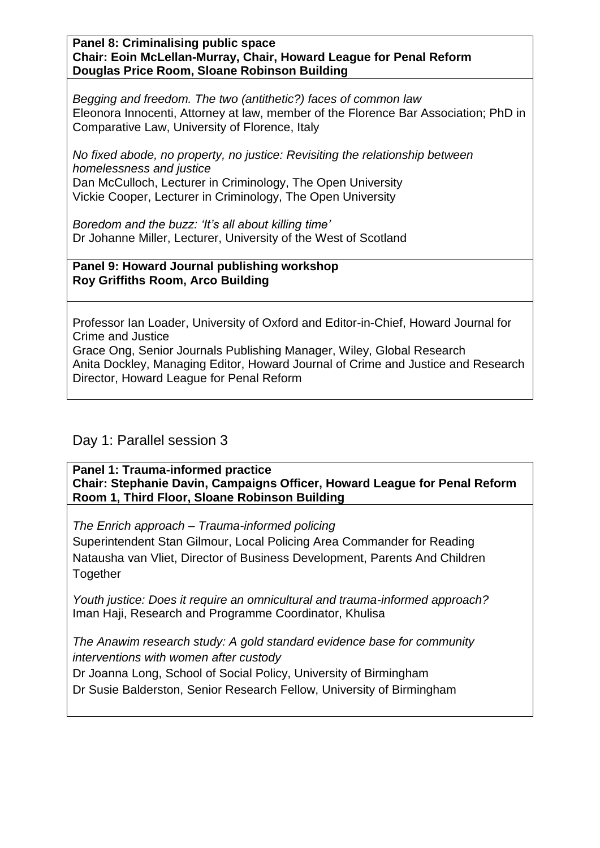**Panel 8: Criminalising public space Chair: Eoin McLellan-Murray, Chair, Howard League for Penal Reform Douglas Price Room, Sloane Robinson Building**

*Begging and freedom. The two (antithetic?) faces of common law* Eleonora Innocenti, Attorney at law, member of the Florence Bar Association; PhD in Comparative Law, University of Florence, Italy

*No fixed abode, no property, no justice: Revisiting the relationship between homelessness and justice* Dan McCulloch, Lecturer in Criminology, The Open University Vickie Cooper, Lecturer in Criminology, The Open University

*Boredom and the buzz: 'It's all about killing time'* Dr Johanne Miller, Lecturer, University of the West of Scotland

**Panel 9: Howard Journal publishing workshop Roy Griffiths Room, Arco Building**

Professor Ian Loader, University of Oxford and Editor-in-Chief, Howard Journal for Crime and Justice

Grace Ong, Senior Journals Publishing Manager, Wiley, Global Research Anita Dockley, Managing Editor, Howard Journal of Crime and Justice and Research Director, Howard League for Penal Reform

# Day 1: Parallel session 3

**Panel 1: Trauma-informed practice Chair: Stephanie Davin, Campaigns Officer, Howard League for Penal Reform Room 1, Third Floor, Sloane Robinson Building**

*The Enrich approach – Trauma-informed policing*

Superintendent Stan Gilmour, Local Policing Area Commander for Reading Natausha van Vliet, Director of Business Development, Parents And Children **Together** 

*Youth justice: Does it require an omnicultural and trauma-informed approach?*  Iman Haji, Research and Programme Coordinator, Khulisa

*The Anawim research study: A gold standard evidence base for community interventions with women after custody*

Dr Joanna Long, School of Social Policy, University of Birmingham

Dr Susie Balderston, Senior Research Fellow, University of Birmingham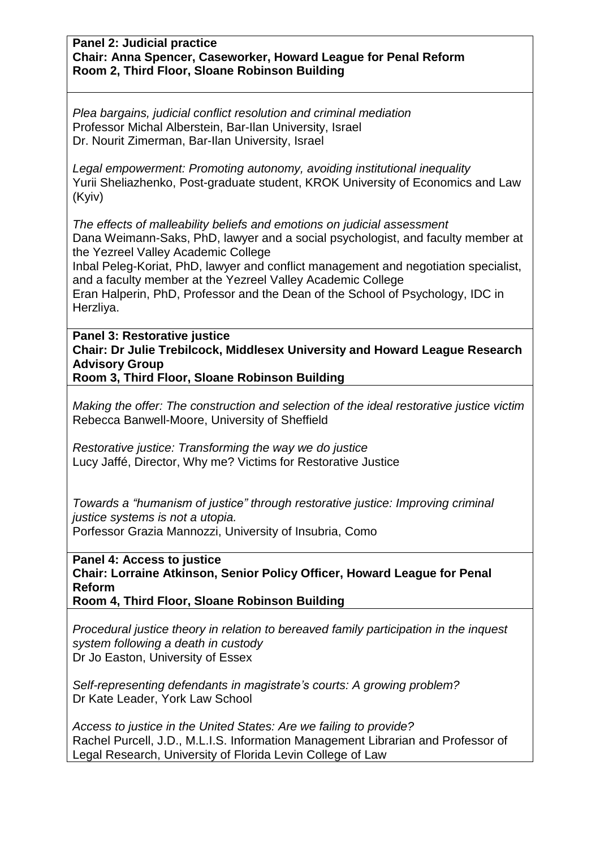#### **Panel 2: Judicial practice Chair: Anna Spencer, Caseworker, Howard League for Penal Reform Room 2, Third Floor, Sloane Robinson Building**

*Plea bargains, judicial conflict resolution and criminal mediation* Professor Michal Alberstein, Bar-Ilan University, Israel Dr. Nourit Zimerman, Bar-Ilan University, Israel

*Legal empowerment: Promoting autonomy, avoiding institutional inequality* Yurii Sheliazhenko, Post-graduate student, KROK University of Economics and Law (Kyiv)

*The effects of malleability beliefs and emotions on judicial assessment* Dana Weimann-Saks, PhD, lawyer and a social psychologist, and faculty member at the Yezreel Valley Academic College

Inbal Peleg-Koriat, PhD, lawyer and conflict management and negotiation specialist, and a faculty member at the Yezreel Valley Academic College

Eran Halperin, PhD, Professor and the Dean of the School of Psychology, IDC in Herzliya.

**Panel 3: Restorative justice Chair: Dr Julie Trebilcock, Middlesex University and Howard League Research Advisory Group**

**Room 3, Third Floor, Sloane Robinson Building**

*Making the offer: The construction and selection of the ideal restorative justice victim* Rebecca Banwell-Moore, University of Sheffield

*Restorative justice: Transforming the way we do justice* Lucy Jaffé, Director, Why me? Victims for Restorative Justice

*Towards a "humanism of justice" through restorative justice: Improving criminal justice systems is not a utopia.* Porfessor Grazia Mannozzi, University of Insubria, Como

**Panel 4: Access to justice Chair: Lorraine Atkinson, Senior Policy Officer, Howard League for Penal Reform**

**Room 4, Third Floor, Sloane Robinson Building**

*Procedural justice theory in relation to bereaved family participation in the inquest system following a death in custody* Dr Jo Easton, University of Essex

*Self-representing defendants in magistrate's courts: A growing problem?* Dr Kate Leader, York Law School

*Access to justice in the United States: Are we failing to provide?* Rachel Purcell, J.D., M.L.I.S. Information Management Librarian and Professor of Legal Research, University of Florida Levin College of Law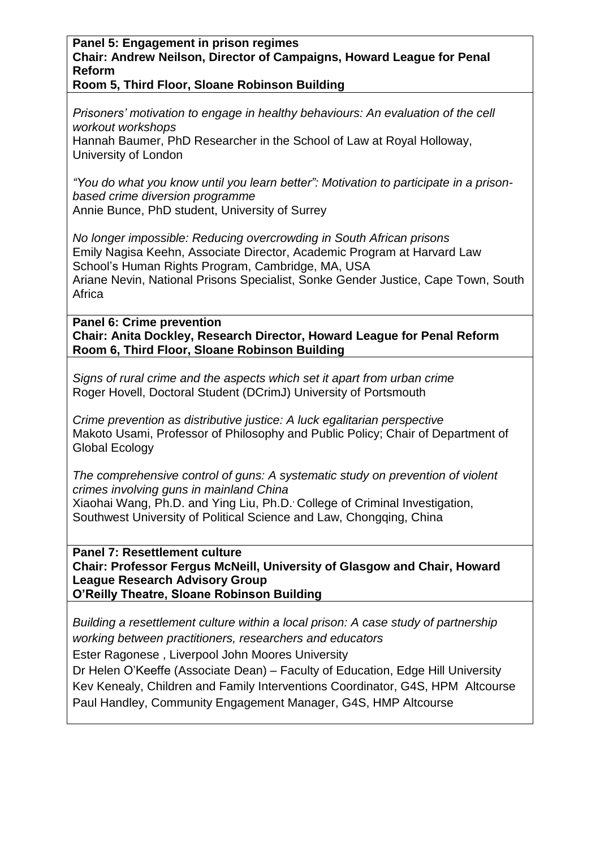**Panel 5: Engagement in prison regimes Chair: Andrew Neilson, Director of Campaigns, Howard League for Penal Reform**

**Room 5, Third Floor, Sloane Robinson Building**

*Prisoners' motivation to engage in healthy behaviours: An evaluation of the cell workout workshops*

Hannah Baumer, PhD Researcher in the School of Law at Royal Holloway, University of London

*"You do what you know until you learn better": Motivation to participate in a prisonbased crime diversion programme* Annie Bunce, PhD student, University of Surrey

*No longer impossible: Reducing overcrowding in South African prisons* Emily Nagisa Keehn, Associate Director, Academic Program at Harvard Law School's Human Rights Program, Cambridge, MA, USA Ariane Nevin, National Prisons Specialist, Sonke Gender Justice, Cape Town, South Africa

**Panel 6: Crime prevention Chair: Anita Dockley, Research Director, Howard League for Penal Reform Room 6, Third Floor, Sloane Robinson Building**

*Signs of rural crime and the aspects which set it apart from urban crime* Roger Hovell, Doctoral Student (DCrimJ) University of Portsmouth

*Crime prevention as distributive justice: A luck egalitarian perspective* Makoto Usami, Professor of Philosophy and Public Policy; Chair of Department of Global Ecology

*The comprehensive control of guns: A systematic study on prevention of violent crimes involving guns in mainland China* Xiaohai Wang, Ph.D. and Ying Liu, Ph.D. College of Criminal Investigation, Southwest University of Political Science and Law, Chongqing, China

**Panel 7: Resettlement culture Chair: Professor Fergus McNeill, University of Glasgow and Chair, Howard League Research Advisory Group O'Reilly Theatre, Sloane Robinson Building**

*Building a resettlement culture within a local prison: A case study of partnership working between practitioners, researchers and educators* Ester Ragonese , Liverpool John Moores University

Dr Helen O'Keeffe (Associate Dean) – Faculty of Education, Edge Hill University Kev Kenealy, Children and Family Interventions Coordinator, G4S, HPM Altcourse Paul Handley, Community Engagement Manager, G4S, HMP Altcourse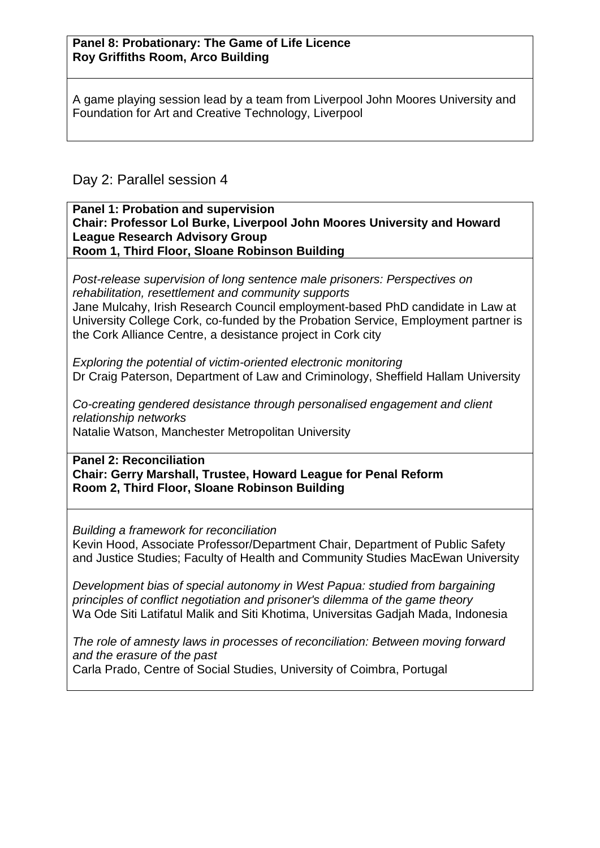A game playing session lead by a team from Liverpool John Moores University and Foundation for Art and Creative Technology, Liverpool

# Day 2: Parallel session 4

#### **Panel 1: Probation and supervision Chair: Professor Lol Burke, Liverpool John Moores University and Howard League Research Advisory Group Room 1, Third Floor, Sloane Robinson Building**

*Post-release supervision of long sentence male prisoners: Perspectives on rehabilitation, resettlement and community supports* Jane Mulcahy, Irish Research Council employment-based PhD candidate in Law at University College Cork, co-funded by the Probation Service, Employment partner is the Cork Alliance Centre, a desistance project in Cork city

*Exploring the potential of victim-oriented electronic monitoring* Dr Craig Paterson, Department of Law and Criminology, Sheffield Hallam University

*Co-creating gendered desistance through personalised engagement and client relationship networks* Natalie Watson, Manchester Metropolitan University

**Panel 2: Reconciliation Chair: Gerry Marshall, Trustee, Howard League for Penal Reform Room 2, Third Floor, Sloane Robinson Building**

*Building a framework for reconciliation* Kevin Hood, Associate Professor/Department Chair, Department of Public Safety and Justice Studies; Faculty of Health and Community Studies MacEwan University

*Development bias of special autonomy in West Papua: studied from bargaining principles of conflict negotiation and prisoner's dilemma of the game theory* Wa Ode Siti Latifatul Malik and Siti Khotima, Universitas Gadjah Mada, Indonesia

*The role of amnesty laws in processes of reconciliation: Between moving forward and the erasure of the past* Carla Prado, Centre of Social Studies, University of Coimbra, Portugal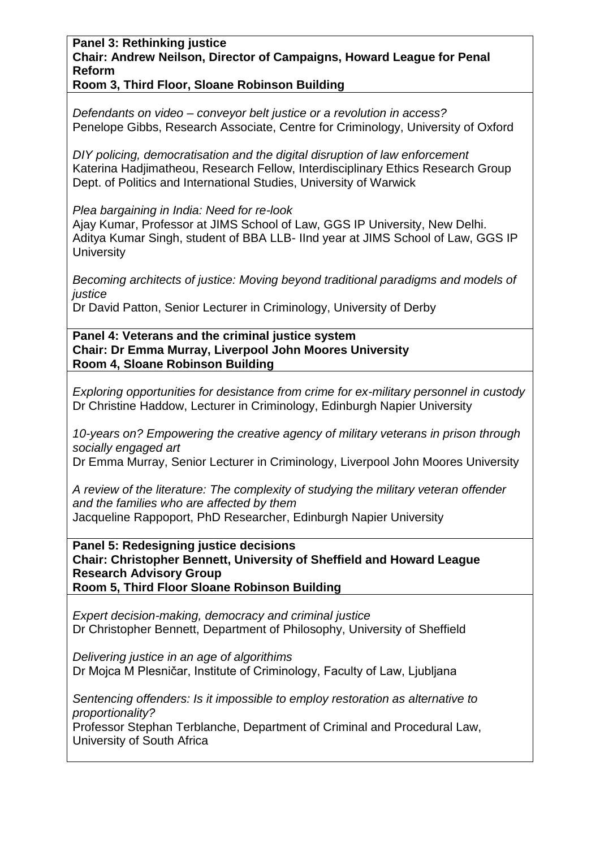### **Panel 3: Rethinking justice Chair: Andrew Neilson, Director of Campaigns, Howard League for Penal Reform**

**Room 3, Third Floor, Sloane Robinson Building**

*Defendants on video – conveyor belt justice or a revolution in access?* Penelope Gibbs, Research Associate, Centre for Criminology, University of Oxford

*DIY policing, democratisation and the digital disruption of law enforcement* Katerina Hadjimatheou, Research Fellow, Interdisciplinary Ethics Research Group Dept. of Politics and International Studies, University of Warwick

*Plea bargaining in India: Need for re-look*

Ajay Kumar, Professor at JIMS School of Law, GGS IP University, New Delhi. Aditya Kumar Singh, student of BBA LLB- IInd year at JIMS School of Law, GGS IP **University** 

*Becoming architects of justice: Moving beyond traditional paradigms and models of justice*

Dr David Patton, Senior Lecturer in Criminology, University of Derby

**Panel 4: Veterans and the criminal justice system Chair: Dr Emma Murray, Liverpool John Moores University Room 4, Sloane Robinson Building**

*Exploring opportunities for desistance from crime for ex-military personnel in custody* Dr Christine Haddow, Lecturer in Criminology, Edinburgh Napier University

*10-years on? Empowering the creative agency of military veterans in prison through socially engaged art*

Dr Emma Murray, Senior Lecturer in Criminology, Liverpool John Moores University

*A review of the literature: The complexity of studying the military veteran offender and the families who are affected by them* Jacqueline Rappoport, PhD Researcher, Edinburgh Napier University

**Panel 5: Redesigning justice decisions Chair: Christopher Bennett, University of Sheffield and Howard League Research Advisory Group Room 5, Third Floor Sloane Robinson Building**

*Expert decision-making, democracy and criminal justice* Dr Christopher Bennett, Department of Philosophy, University of Sheffield

*Delivering justice in an age of algorithims* Dr Mojca M Plesničar, Institute of Criminology, Faculty of Law, Ljubljana

*Sentencing offenders: Is it impossible to employ restoration as alternative to proportionality?*

Professor Stephan Terblanche, Department of Criminal and Procedural Law, University of South Africa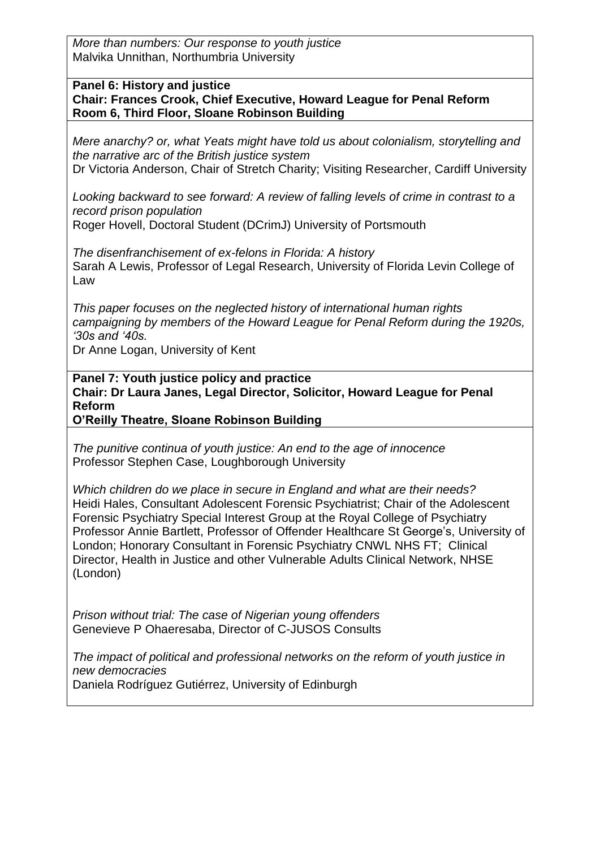*More than numbers: Our response to youth justice* Malvika Unnithan, Northumbria University

#### **Panel 6: History and justice**

**Chair: Frances Crook, Chief Executive, Howard League for Penal Reform Room 6, Third Floor, Sloane Robinson Building**

*Mere anarchy? or, what Yeats might have told us about colonialism, storytelling and the narrative arc of the British justice system* Dr Victoria Anderson, Chair of Stretch Charity; Visiting Researcher, Cardiff University

*Looking backward to see forward: A review of falling levels of crime in contrast to a record prison population*

Roger Hovell, Doctoral Student (DCrimJ) University of Portsmouth

*The disenfranchisement of ex-felons in Florida: A history* Sarah A Lewis, Professor of Legal Research, University of Florida Levin College of Law

*This paper focuses on the neglected history of international human rights campaigning by members of the Howard League for Penal Reform during the 1920s, '30s and '40s.*

Dr Anne Logan, University of Kent

**Panel 7: Youth justice policy and practice Chair: Dr Laura Janes, Legal Director, Solicitor, Howard League for Penal Reform**

**O'Reilly Theatre, Sloane Robinson Building**

*The punitive continua of youth justice: An end to the age of innocence* Professor Stephen Case, Loughborough University

*Which children do we place in secure in England and what are their needs?* Heidi Hales, Consultant Adolescent Forensic Psychiatrist; Chair of the Adolescent Forensic Psychiatry Special Interest Group at the Royal College of Psychiatry Professor Annie Bartlett, Professor of Offender Healthcare St George's, University of London; Honorary Consultant in Forensic Psychiatry CNWL NHS FT; Clinical Director, Health in Justice and other Vulnerable Adults Clinical Network, NHSE (London)

*Prison without trial: The case of Nigerian young offenders* Genevieve P Ohaeresaba, Director of C-JUSOS Consults

*The impact of political and professional networks on the reform of youth justice in new democracies* Daniela Rodríguez Gutiérrez, University of Edinburgh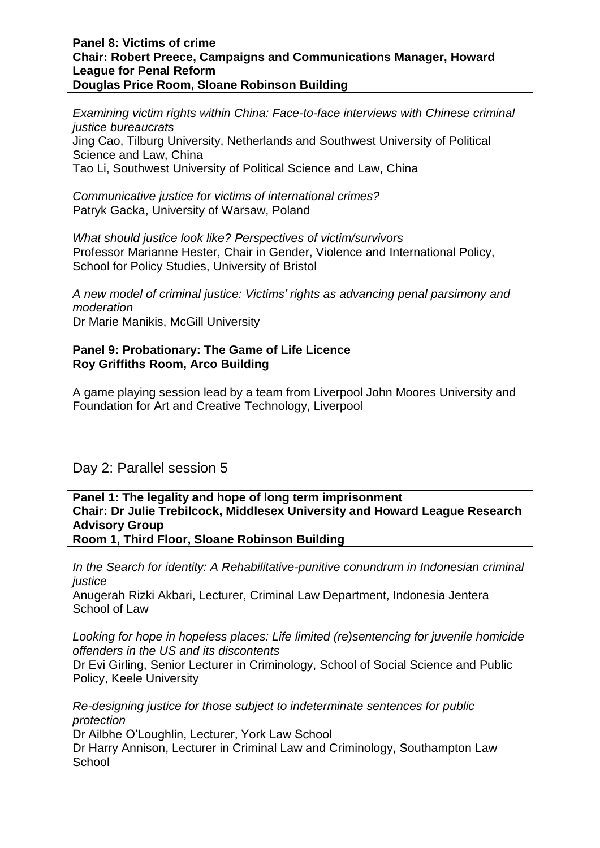#### **Panel 8: Victims of crime Chair: Robert Preece, Campaigns and Communications Manager, Howard League for Penal Reform Douglas Price Room, Sloane Robinson Building**

*Examining victim rights within China: Face-to-face interviews with Chinese criminal justice bureaucrats* Jing Cao, Tilburg University, Netherlands and Southwest University of Political Science and Law, China

Tao Li, Southwest University of Political Science and Law, China

*Communicative justice for victims of international crimes?* Patryk Gacka, University of Warsaw, Poland

*What should justice look like? Perspectives of victim/survivors* Professor Marianne Hester, Chair in Gender, Violence and International Policy, School for Policy Studies, University of Bristol

*A new model of criminal justice: Victims' rights as advancing penal parsimony and moderation* Dr Marie Manikis, McGill University

**Panel 9: Probationary: The Game of Life Licence**

**Roy Griffiths Room, Arco Building**

A game playing session lead by a team from Liverpool John Moores University and Foundation for Art and Creative Technology, Liverpool

# Day 2: Parallel session 5

**Panel 1: The legality and hope of long term imprisonment Chair: Dr Julie Trebilcock, Middlesex University and Howard League Research Advisory Group**

**Room 1, Third Floor, Sloane Robinson Building**

*In the Search for identity: A Rehabilitative-punitive conundrum in Indonesian criminal justice*

Anugerah Rizki Akbari, Lecturer, Criminal Law Department, Indonesia Jentera School of Law

*Looking for hope in hopeless places: Life limited (re)sentencing for juvenile homicide offenders in the US and its discontents*

Dr Evi Girling, Senior Lecturer in Criminology, School of Social Science and Public Policy, Keele University

*Re-designing justice for those subject to indeterminate sentences for public protection*

Dr Ailbhe O'Loughlin, Lecturer, York Law School

Dr Harry Annison, Lecturer in Criminal Law and Criminology, Southampton Law School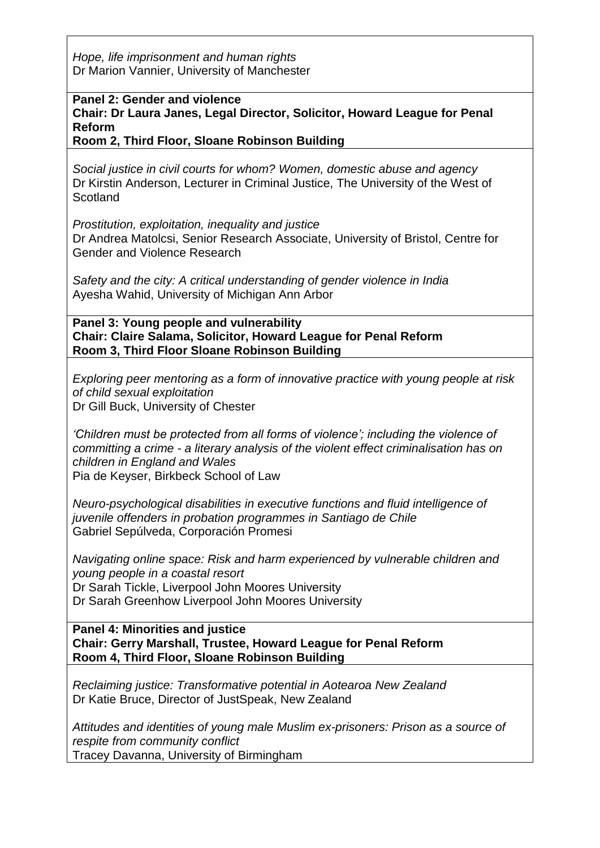*Hope, life imprisonment and human rights* Dr Marion Vannier, University of Manchester

**Panel 2: Gender and violence**

**Chair: Dr Laura Janes, Legal Director, Solicitor, Howard League for Penal Reform**

**Room 2, Third Floor, Sloane Robinson Building**

*Social justice in civil courts for whom? Women, domestic abuse and agency* Dr Kirstin Anderson, Lecturer in Criminal Justice, The University of the West of **Scotland** 

*Prostitution, exploitation, inequality and justice* Dr Andrea Matolcsi, Senior Research Associate, University of Bristol, Centre for Gender and Violence Research

*Safety and the city: A critical understanding of gender violence in India* Ayesha Wahid, University of Michigan Ann Arbor

**Panel 3: Young people and vulnerability Chair: Claire Salama, Solicitor, Howard League for Penal Reform Room 3, Third Floor Sloane Robinson Building**

*Exploring peer mentoring as a form of innovative practice with young people at risk of child sexual exploitation* Dr Gill Buck, University of Chester

*'Children must be protected from all forms of violence'; including the violence of committing a crime - a literary analysis of the violent effect criminalisation has on children in England and Wales* Pia de Keyser, Birkbeck School of Law

*Neuro-psychological disabilities in executive functions and fluid intelligence of juvenile offenders in probation programmes in Santiago de Chile* Gabriel Sepúlveda, Corporación Promesi

*Navigating online space: Risk and harm experienced by vulnerable children and young people in a coastal resort* Dr Sarah Tickle, Liverpool John Moores University Dr Sarah Greenhow Liverpool John Moores University

**Panel 4: Minorities and justice Chair: Gerry Marshall, Trustee, Howard League for Penal Reform Room 4, Third Floor, Sloane Robinson Building**

*Reclaiming justice: Transformative potential in Aotearoa New Zealand* Dr Katie Bruce, Director of JustSpeak, New Zealand

*Attitudes and identities of young male Muslim ex-prisoners: Prison as a source of respite from community conflict* Tracey Davanna, University of Birmingham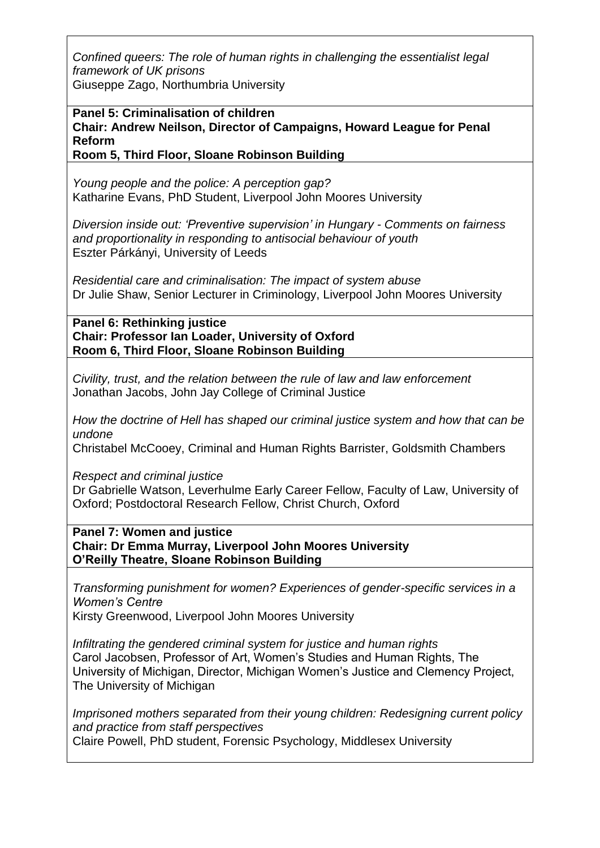*Confined queers: The role of human rights in challenging the essentialist legal framework of UK prisons*

Giuseppe Zago, Northumbria University

**Panel 5: Criminalisation of children Chair: Andrew Neilson, Director of Campaigns, Howard League for Penal Reform Room 5, Third Floor, Sloane Robinson Building**

*Young people and the police: A perception gap?* Katharine Evans, PhD Student, Liverpool John Moores University

*Diversion inside out: 'Preventive supervision' in Hungary - Comments on fairness and proportionality in responding to antisocial behaviour of youth* Eszter Párkányi, University of Leeds

*Residential care and criminalisation: The impact of system abuse* Dr Julie Shaw, Senior Lecturer in Criminology, Liverpool John Moores University

**Panel 6: Rethinking justice Chair: Professor Ian Loader, University of Oxford Room 6, Third Floor, Sloane Robinson Building**

*Civility, trust, and the relation between the rule of law and law enforcement* Jonathan Jacobs, John Jay College of Criminal Justice

*How the doctrine of Hell has shaped our criminal justice system and how that can be undone*

Christabel McCooey, Criminal and Human Rights Barrister, Goldsmith Chambers

*Respect and criminal justice*

Dr Gabrielle Watson, Leverhulme Early Career Fellow, Faculty of Law, University of Oxford; Postdoctoral Research Fellow, Christ Church, Oxford

**Panel 7: Women and justice Chair: Dr Emma Murray, Liverpool John Moores University O'Reilly Theatre, Sloane Robinson Building**

*Transforming punishment for women? Experiences of gender-specific services in a Women's Centre* Kirsty Greenwood, Liverpool John Moores University

*Infiltrating the gendered criminal system for justice and human rights* Carol Jacobsen, Professor of Art, Women's Studies and Human Rights, The University of Michigan, Director, Michigan Women's Justice and Clemency Project, The University of Michigan

*Imprisoned mothers separated from their young children: Redesigning current policy and practice from staff perspectives* Claire Powell, PhD student, Forensic Psychology, Middlesex University